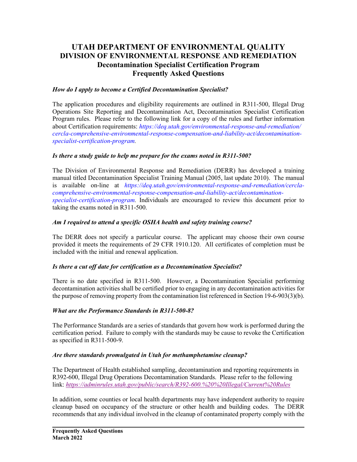# **UTAH DEPARTMENT OF ENVIRONMENTAL QUALITY DIVISION OF ENVIRONMENTAL RESPONSE AND REMEDIATION Decontamination Specialist Certification Program Frequently Asked Questions**

## *How do I apply to become a Certified Decontamination Specialist?*

The application procedures and eligibility requirements are outlined in R311-500, Illegal Drug Operations Site Reporting and Decontamination Act, Decontamination Specialist Certification Program rules. Please refer to the following link for a copy of the rules and further information about Certification requirements: *https://deq.utah.gov/environmental-response-and-remediation/ cercla-comprehensive-environmental-response-compensation-and-liability-act/decontaminationspecialist-certification-program.*

## *Is there a study guide to help me prepare for the exams noted in R311-500?*

The Division of Environmental Response and Remediation (DERR) has developed a training manual titled Decontamination Specialist Training Manual (2005, last update 2010). The manual is available on-line at *https://deq.utah.gov/environmental-response-and-remediation/cerclacomprehensive-environmental-response-compensation-and-liability-act/decontaminationspecialist-certification-program.* Individuals are encouraged to review this document prior to taking the exams noted in R311-500.

## *Am I required to attend a specific OSHA health and safety training course?*

The DERR does not specify a particular course. The applicant may choose their own course provided it meets the requirements of 29 CFR 1910.120. All certificates of completion must be included with the initial and renewal application.

## *Is there a cut off date for certification as a Decontamination Specialist?*

There is no date specified in R311-500. However, a Decontamination Specialist performing decontamination activities shall be certified prior to engaging in any decontamination activities for the purpose of removing property from the contamination list referenced in Section 19-6-903(3)(b).

## *What are the Performance Standards in R311-500-8?*

The Performance Standards are a series of standards that govern how work is performed during the certification period. Failure to comply with the standards may be cause to revoke the Certification as specified in R311-500-9.

## *Are there standards promulgated in Utah for methamphetamine cleanup?*

The Department of Health established sampling, decontamination and reporting requirements in R392-600, Illegal Drug Operations Decontamination Standards. Please refer to the following link: *<https://adminrules.utah.gov/public/search/R392-600.%20%20Illegal/Current%20Rules>*

In addition, some counties or local health departments may have independent authority to require cleanup based on occupancy of the structure or other health and building codes. The DERR recommends that any individual involved in the cleanup of contaminated property comply with the